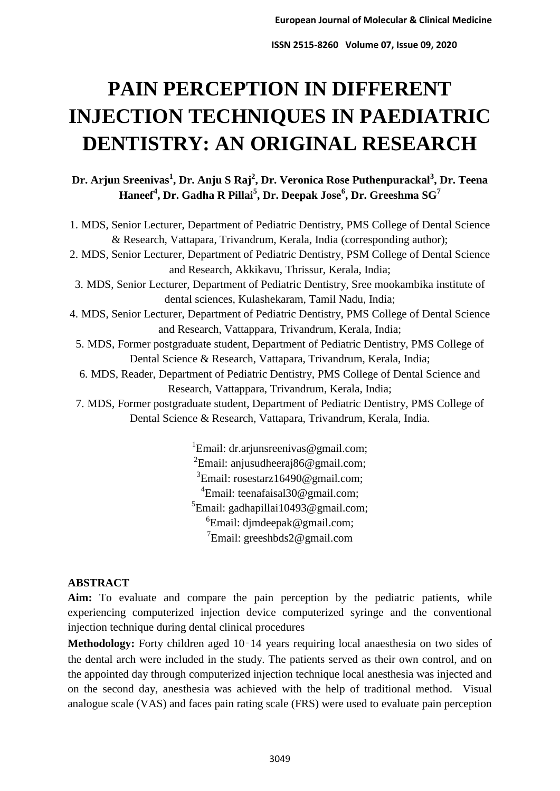# **PAIN PERCEPTION IN DIFFERENT INJECTION TECHNIQUES IN PAEDIATRIC DENTISTRY: AN ORIGINAL RESEARCH**

**Dr. Arjun Sreenivas<sup>1</sup> , Dr. Anju S Raj<sup>2</sup> , Dr. Veronica Rose Puthenpurackal<sup>3</sup> , Dr. Teena Haneef<sup>4</sup> , Dr. Gadha R Pillai<sup>5</sup> , Dr. Deepak Jose<sup>6</sup> , Dr. Greeshma SG<sup>7</sup>**

1. MDS, Senior Lecturer, Department of Pediatric Dentistry, PMS College of Dental Science & Research, Vattapara, Trivandrum, Kerala, India (corresponding author);

2. MDS, Senior Lecturer, Department of Pediatric Dentistry, PSM College of Dental Science and Research, Akkikavu, Thrissur, Kerala, India;

- 3. MDS, Senior Lecturer, Department of Pediatric Dentistry, Sree mookambika institute of dental sciences, Kulashekaram, Tamil Nadu, India;
- 4. MDS, Senior Lecturer, Department of Pediatric Dentistry, PMS College of Dental Science and Research, Vattappara, Trivandrum, Kerala, India;
- 5. MDS, Former postgraduate student, Department of Pediatric Dentistry, PMS College of Dental Science & Research, Vattapara, Trivandrum, Kerala, India;
- 6. MDS, Reader, Department of Pediatric Dentistry, PMS College of Dental Science and Research, Vattappara, Trivandrum, Kerala, India;
- 7. MDS, Former postgraduate student, Department of Pediatric Dentistry, PMS College of Dental Science & Research, Vattapara, Trivandrum, Kerala, India.

<sup>1</sup>Email: dr.arjunsreenivas@gmail.com;  ${}^{2}$ Email: anjusudheeraj $86@$ gmail.com; <sup>3</sup>Email: rosestarz16490@gmail.com; <sup>4</sup>Email: teenafaisal30@gmail.com; <sup>5</sup>Email: gadhapillai10493@gmail.com; <sup>6</sup>Email: djmdeepak@gmail.com; <sup>7</sup>Email: greeshbds2@gmail.com

# **ABSTRACT**

**Aim:** To evaluate and compare the pain perception by the pediatric patients, while experiencing computerized injection device computerized syringe and the conventional injection technique during dental clinical procedures

**Methodology:** Forty children aged 10‑14 years requiring local anaesthesia on two sides of the dental arch were included in the study. The patients served as their own control, and on the appointed day through computerized injection technique local anesthesia was injected and on the second day, anesthesia was achieved with the help of traditional method. Visual analogue scale (VAS) and faces pain rating scale (FRS) were used to evaluate pain perception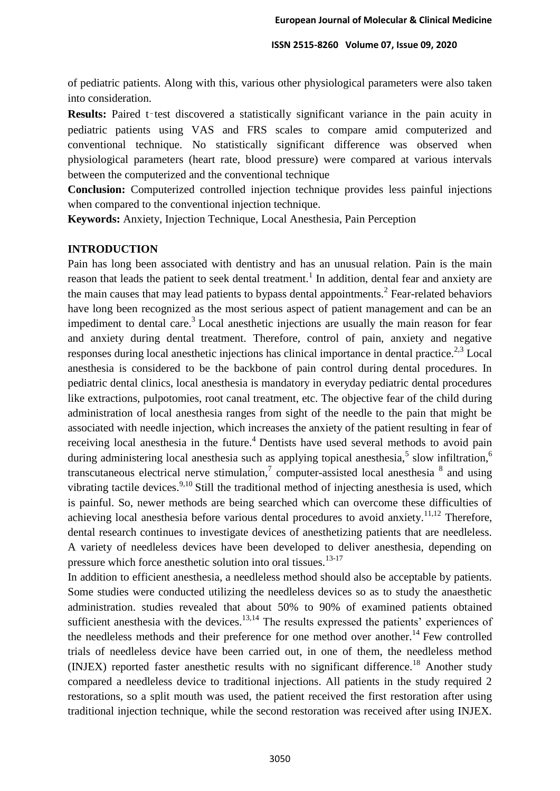#### **ISSN 2515-8260 Volume 07, Issue 09, 2020**

of pediatric patients. Along with this, various other physiological parameters were also taken into consideration.

**Results:** Paired t–test discovered a statistically significant variance in the pain acuity in pediatric patients using VAS and FRS scales to compare amid computerized and conventional technique. No statistically significant difference was observed when physiological parameters (heart rate, blood pressure) were compared at various intervals between the computerized and the conventional technique

**Conclusion:** Computerized controlled injection technique provides less painful injections when compared to the conventional injection technique.

**Keywords:** Anxiety, Injection Technique, Local Anesthesia, Pain Perception

## **INTRODUCTION**

Pain has long been associated with dentistry and has an unusual relation. Pain is the main reason that leads the patient to seek dental treatment.<sup>1</sup> In addition, dental fear and anxiety are the main causes that may lead patients to bypass dental appointments.<sup>2</sup> Fear-related behaviors have long been recognized as the most serious aspect of patient management and can be an impediment to dental care.<sup>3</sup> Local anesthetic injections are usually the main reason for fear and anxiety during dental treatment. Therefore, control of pain, anxiety and negative responses during local anesthetic injections has clinical importance in dental practice.<sup>2,3</sup> Local anesthesia is considered to be the backbone of pain control during dental procedures. In pediatric dental clinics, local anesthesia is mandatory in everyday pediatric dental procedures like extractions, pulpotomies, root canal treatment, etc. The objective fear of the child during administration of local anesthesia ranges from sight of the needle to the pain that might be associated with needle injection, which increases the anxiety of the patient resulting in fear of receiving local anesthesia in the future.<sup>4</sup> Dentists have used several methods to avoid pain during administering local anesthesia such as applying topical anesthesia,<sup>5</sup> slow infiltration,<sup>6</sup> transcutaneous electrical nerve stimulation,<sup>7</sup> computer-assisted local anesthesia  $\frac{8}{3}$  and using vibrating tactile devices.<sup>9,10</sup> Still the traditional method of injecting anesthesia is used, which is painful. So, newer methods are being searched which can overcome these difficulties of achieving local anesthesia before various dental procedures to avoid anxiety.<sup>11,12</sup> Therefore, dental research continues to investigate devices of anesthetizing patients that are needleless. A variety of needleless devices have been developed to deliver anesthesia, depending on pressure which force anesthetic solution into oral tissues.<sup>13-17</sup>

In addition to efficient anesthesia, a needleless method should also be acceptable by patients. Some studies were conducted utilizing the needleless devices so as to study the anaesthetic administration. studies revealed that about 50% to 90% of examined patients obtained sufficient anesthesia with the devices.<sup>13,14</sup> The results expressed the patients' experiences of the needleless methods and their preference for one method over another.<sup>14</sup> Few controlled trials of needleless device have been carried out, in one of them, the needleless method (INJEX) reported faster anesthetic results with no significant difference.<sup>18</sup> Another study compared a needleless device to traditional injections. All patients in the study required 2 restorations, so a split mouth was used, the patient received the first restoration after using traditional injection technique, while the second restoration was received after using INJEX.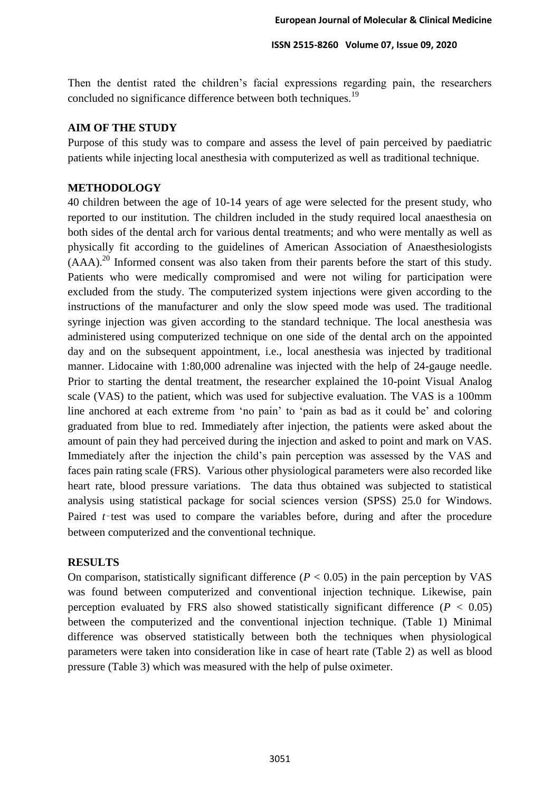Then the dentist rated the children's facial expressions regarding pain, the researchers concluded no significance difference between both techniques.<sup>19</sup>

## **AIM OF THE STUDY**

Purpose of this study was to compare and assess the level of pain perceived by paediatric patients while injecting local anesthesia with computerized as well as traditional technique.

## **METHODOLOGY**

40 children between the age of 10-14 years of age were selected for the present study, who reported to our institution. The children included in the study required local anaesthesia on both sides of the dental arch for various dental treatments; and who were mentally as well as physically fit according to the guidelines of American Association of Anaesthesiologists  $(AAA)$ <sup>20</sup> Informed consent was also taken from their parents before the start of this study. Patients who were medically compromised and were not wiling for participation were excluded from the study. The computerized system injections were given according to the instructions of the manufacturer and only the slow speed mode was used. The traditional syringe injection was given according to the standard technique. The local anesthesia was administered using computerized technique on one side of the dental arch on the appointed day and on the subsequent appointment, i.e., local anesthesia was injected by traditional manner. Lidocaine with 1:80,000 adrenaline was injected with the help of 24-gauge needle. Prior to starting the dental treatment, the researcher explained the 10-point Visual Analog scale (VAS) to the patient, which was used for subjective evaluation. The VAS is a 100mm line anchored at each extreme from 'no pain' to 'pain as bad as it could be' and coloring graduated from blue to red. Immediately after injection, the patients were asked about the amount of pain they had perceived during the injection and asked to point and mark on VAS. Immediately after the injection the child's pain perception was assessed by the VAS and faces pain rating scale (FRS). Various other physiological parameters were also recorded like heart rate, blood pressure variations. The data thus obtained was subjected to statistical analysis using statistical package for social sciences version (SPSS) 25.0 for Windows. Paired *t*–test was used to compare the variables before, during and after the procedure between computerized and the conventional technique.

# **RESULTS**

On comparison, statistically significant difference  $(P < 0.05)$  in the pain perception by VAS was found between computerized and conventional injection technique. Likewise, pain perception evaluated by FRS also showed statistically significant difference ( $P < 0.05$ ) between the computerized and the conventional injection technique. (Table 1) Minimal difference was observed statistically between both the techniques when physiological parameters were taken into consideration like in case of heart rate (Table 2) as well as blood pressure (Table 3) which was measured with the help of pulse oximeter.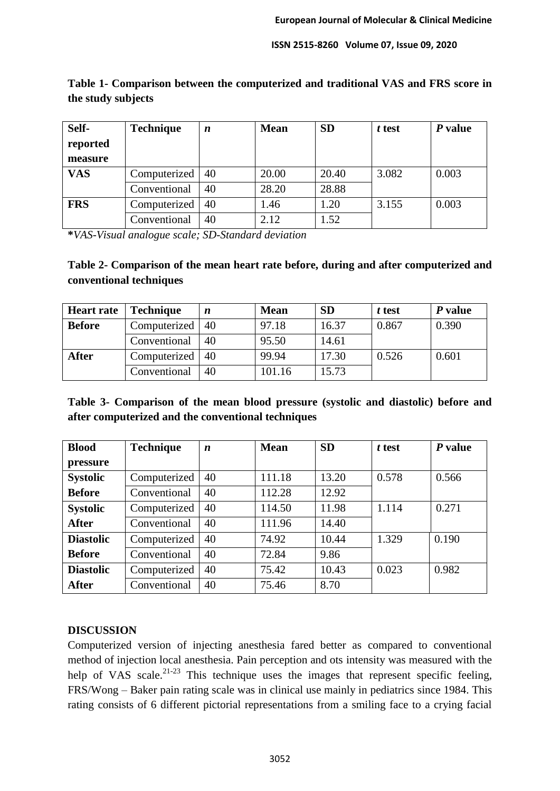| Self-      | <b>Technique</b> | $\boldsymbol{n}$ | <b>Mean</b> | <b>SD</b> | t test | P value |
|------------|------------------|------------------|-------------|-----------|--------|---------|
| reported   |                  |                  |             |           |        |         |
| measure    |                  |                  |             |           |        |         |
| <b>VAS</b> | Computerized     | 40               | 20.00       | 20.40     | 3.082  | 0.003   |
|            | Conventional     | 40               | 28.20       | 28.88     |        |         |
| <b>FRS</b> | Computerized     | 40               | 1.46        | 1.20      | 3.155  | 0.003   |
|            | Conventional     | 40               | 2.12        | 1.52      |        |         |

**Table 1- Comparison between the computerized and traditional VAS and FRS score in the study subjects**

**\****VAS-Visual analogue scale; SD-Standard deviation*

# **Table 2- Comparison of the mean heart rate before, during and after computerized and conventional techniques**

| <b>Heart rate</b> | Technique    | n  | <b>Mean</b> | <b>SD</b> | t test | P value |
|-------------------|--------------|----|-------------|-----------|--------|---------|
| <b>Before</b>     | Computerized | 40 | 97.18       | 16.37     | 0.867  | 0.390   |
|                   | Conventional | 40 | 95.50       | 14.61     |        |         |
| <b>After</b>      | Computerized | 40 | 99.94       | 17.30     | 0.526  | 0.601   |
|                   | Conventional | 40 | 101.16      | 15.73     |        |         |

**Table 3- Comparison of the mean blood pressure (systolic and diastolic) before and after computerized and the conventional techniques**

| <b>Blood</b>     | <b>Technique</b> | $\boldsymbol{n}$ | <b>Mean</b> | <b>SD</b> | $t$ test | P value |
|------------------|------------------|------------------|-------------|-----------|----------|---------|
| pressure         |                  |                  |             |           |          |         |
| <b>Systolic</b>  | Computerized     | 40               | 111.18      | 13.20     | 0.578    | 0.566   |
| <b>Before</b>    | Conventional     | 40               | 112.28      | 12.92     |          |         |
| <b>Systolic</b>  | Computerized     | 40               | 114.50      | 11.98     | 1.114    | 0.271   |
| <b>After</b>     | Conventional     | 40               | 111.96      | 14.40     |          |         |
| <b>Diastolic</b> | Computerized     | 40               | 74.92       | 10.44     | 1.329    | 0.190   |
| <b>Before</b>    | Conventional     | 40               | 72.84       | 9.86      |          |         |
| <b>Diastolic</b> | Computerized     | 40               | 75.42       | 10.43     | 0.023    | 0.982   |
| <b>After</b>     | Conventional     | 40               | 75.46       | 8.70      |          |         |

# **DISCUSSION**

Computerized version of injecting anesthesia fared better as compared to conventional method of injection local anesthesia. Pain perception and ots intensity was measured with the help of VAS scale.<sup>21-23</sup> This technique uses the images that represent specific feeling, FRS/Wong – Baker pain rating scale was in clinical use mainly in pediatrics since 1984. This rating consists of 6 different pictorial representations from a smiling face to a crying facial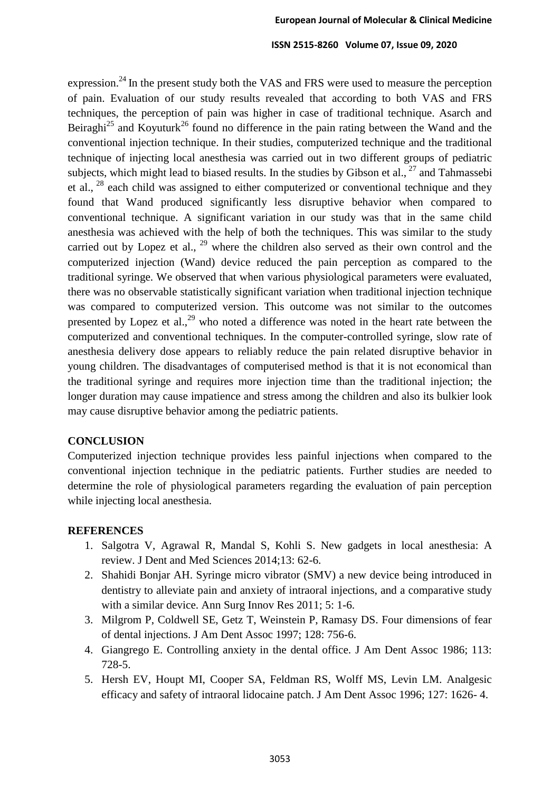#### **ISSN 2515-8260 Volume 07, Issue 09, 2020**

expression.<sup>24</sup> In the present study both the VAS and FRS were used to measure the perception of pain. Evaluation of our study results revealed that according to both VAS and FRS techniques, the perception of pain was higher in case of traditional technique. Asarch and Beiraghi<sup>25</sup> and Koyuturk<sup>26</sup> found no difference in the pain rating between the Wand and the conventional injection technique. In their studies, computerized technique and the traditional technique of injecting local anesthesia was carried out in two different groups of pediatric subjects, which might lead to biased results. In the studies by Gibson et al.,  $27$  and Tahmassebi et al., <sup>28</sup> each child was assigned to either computerized or conventional technique and they found that Wand produced significantly less disruptive behavior when compared to conventional technique. A significant variation in our study was that in the same child anesthesia was achieved with the help of both the techniques. This was similar to the study carried out by Lopez et al.,  $^{29}$  where the children also served as their own control and the computerized injection (Wand) device reduced the pain perception as compared to the traditional syringe. We observed that when various physiological parameters were evaluated, there was no observable statistically significant variation when traditional injection technique was compared to computerized version. This outcome was not similar to the outcomes presented by Lopez et al.,  $^{29}$  who noted a difference was noted in the heart rate between the computerized and conventional techniques. In the computer-controlled syringe, slow rate of anesthesia delivery dose appears to reliably reduce the pain related disruptive behavior in young children. The disadvantages of computerised method is that it is not economical than the traditional syringe and requires more injection time than the traditional injection; the longer duration may cause impatience and stress among the children and also its bulkier look may cause disruptive behavior among the pediatric patients.

#### **CONCLUSION**

Computerized injection technique provides less painful injections when compared to the conventional injection technique in the pediatric patients. Further studies are needed to determine the role of physiological parameters regarding the evaluation of pain perception while injecting local anesthesia.

#### **REFERENCES**

- 1. Salgotra V, Agrawal R, Mandal S, Kohli S. New gadgets in local anesthesia: A review. J Dent and Med Sciences 2014;13: 62-6.
- 2. Shahidi Bonjar AH. Syringe micro vibrator (SMV) a new device being introduced in dentistry to alleviate pain and anxiety of intraoral injections, and a comparative study with a similar device. Ann Surg Innov Res 2011; 5: 1-6.
- 3. Milgrom P, Coldwell SE, Getz T, Weinstein P, Ramasy DS. Four dimensions of fear of dental injections. J Am Dent Assoc 1997; 128: 756-6.
- 4. Giangrego E. Controlling anxiety in the dental office. J Am Dent Assoc 1986; 113: 728-5.
- 5. Hersh EV, Houpt MI, Cooper SA, Feldman RS, Wolff MS, Levin LM. Analgesic efficacy and safety of intraoral lidocaine patch. J Am Dent Assoc 1996; 127: 1626- 4.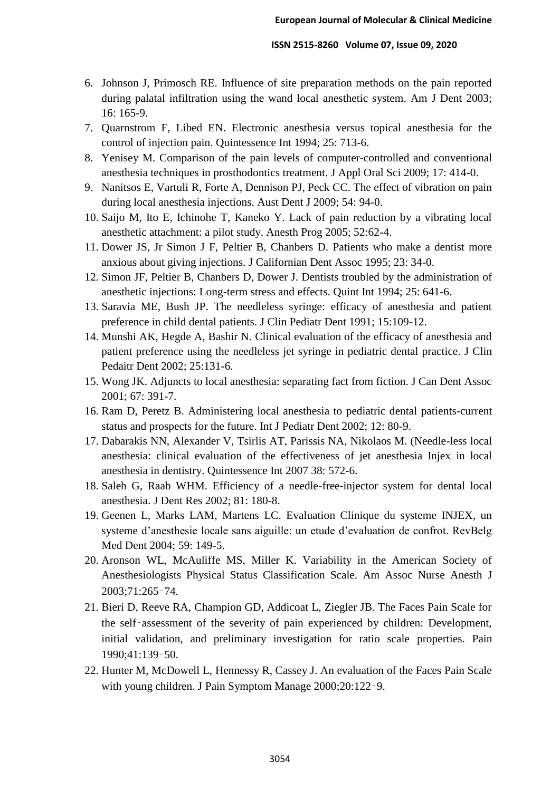#### **ISSN 2515-8260 Volume 07, Issue 09, 2020**

- 6. Johnson J, Primosch RE. Influence of site preparation methods on the pain reported during palatal infiltration using the wand local anesthetic system. Am J Dent 2003; 16: 165-9.
- 7. Quarnstrom F, Libed EN. Electronic anesthesia versus topical anesthesia for the control of injection pain. Quintessence Int 1994; 25: 713-6.
- 8. Yenisey M. Comparison of the pain levels of computer-controlled and conventional anesthesia techniques in prosthodontics treatment. J Appl Oral Sci 2009; 17: 414-0.
- 9. Nanitsos E, Vartuli R, Forte A, Dennison PJ, Peck CC. The effect of vibration on pain during local anesthesia injections. Aust Dent J 2009; 54: 94-0.
- 10. Saijo M, Ito E, Ichinohe T, Kaneko Y. Lack of pain reduction by a vibrating local anesthetic attachment: a pilot study. Anesth Prog 2005; 52:62-4.
- 11. Dower JS, Jr Simon J F, Peltier B, Chanbers D. Patients who make a dentist more anxious about giving injections. J Californian Dent Assoc 1995; 23: 34-0.
- 12. Simon JF, Peltier B, Chanbers D, Dower J. Dentists troubled by the administration of anesthetic injections: Long-term stress and effects. Quint Int 1994; 25: 641-6.
- 13. Saravia ME, Bush JP. The needleless syringe: efficacy of anesthesia and patient preference in child dental patients. J Clin Pediatr Dent 1991; 15:109-12.
- 14. Munshi AK, Hegde A, Bashir N. Clinical evaluation of the efficacy of anesthesia and patient preference using the needleless jet syringe in pediatric dental practice. J Clin Pedaitr Dent 2002; 25:131-6.
- 15. Wong JK. Adjuncts to local anesthesia: separating fact from fiction. J Can Dent Assoc 2001; 67: 391-7.
- 16. Ram D, Peretz B. Administering local anesthesia to pediatric dental patients-current status and prospects for the future. Int J Pediatr Dent 2002; 12: 80-9.
- 17. Dabarakis NN, Alexander V, Tsirlis AT, Parissis NA, Nikolaos M. (Needle-less local anesthesia: clinical evaluation of the effectiveness of jet anesthesia Injex in local anesthesia in dentistry. Quintessence Int 2007 38: 572-6.
- 18. Saleh G, Raab WHM. Efficiency of a needle-free-injector system for dental local anesthesia. J Dent Res 2002; 81: 180-8.
- 19. Geenen L, Marks LAM, Martens LC. Evaluation Clinique du systeme INJEX, un systeme d'anesthesie locale sans aiguille: un etude d'evaluation de confrot. RevBelg Med Dent 2004; 59: 149-5.
- 20. Aronson WL, McAuliffe MS, Miller K. Variability in the American Society of Anesthesiologists Physical Status Classification Scale. Am Assoc Nurse Anesth J 2003;71:265‑74.
- 21. Bieri D, Reeve RA, Champion GD, Addicoat L, Ziegler JB. The Faces Pain Scale for the self‑assessment of the severity of pain experienced by children: Development, initial validation, and preliminary investigation for ratio scale properties. Pain 1990;41:139‑50.
- 22. Hunter M, McDowell L, Hennessy R, Cassey J. An evaluation of the Faces Pain Scale with young children. J Pain Symptom Manage 2000;20:122-9.